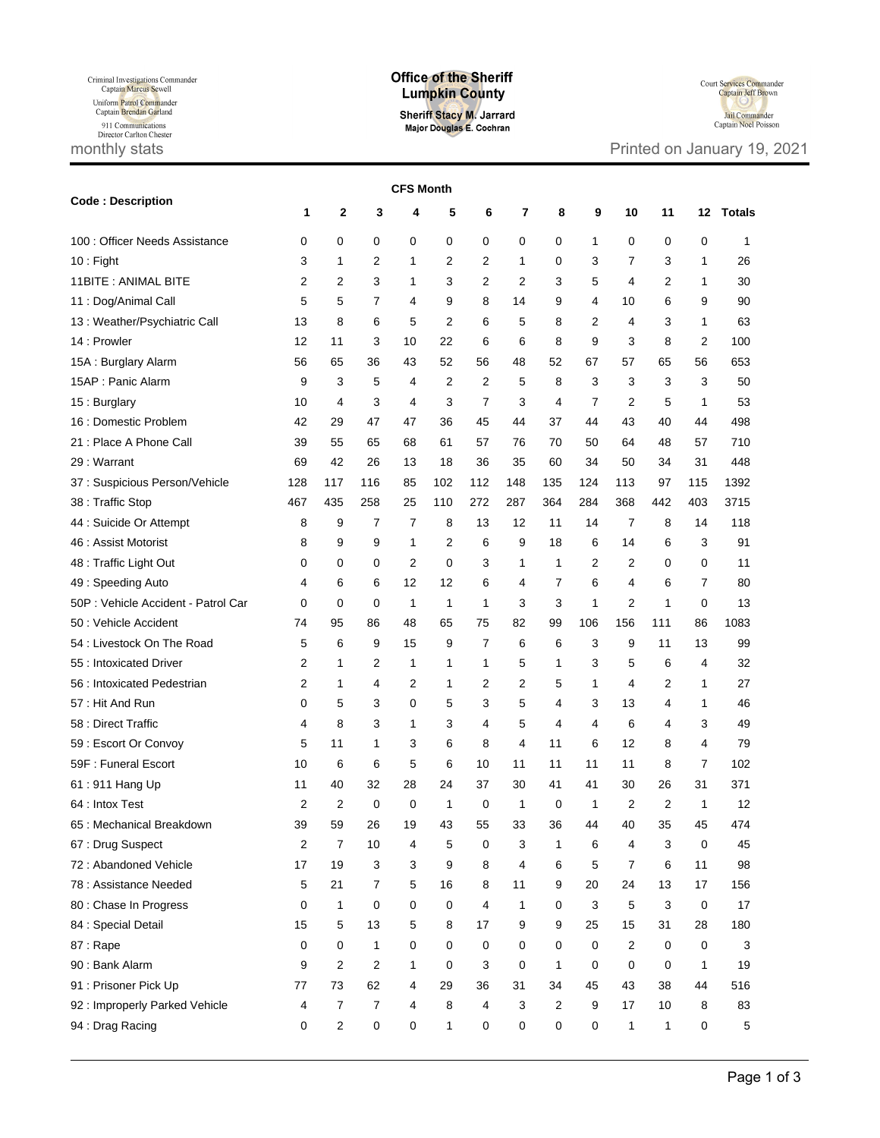Criminal Investigations Commander<br>Captain Marcus Sewell<br>Uniform Patrol Commander<br>Captain Brendan Garland monthly stats<br>
monthly stats<br>
monthly stats<br>
monthly stats<br>
Printed on January 19, 2021

## Office of the Sheriff **Lumpkin County**

Sheriff Stacy M. Jarrard<br>Major Douglas E. Cochran



| <b>Code: Description</b>           |                |                |                | <b>CFS Month</b> |              |             |                         |                |                         |                |                |           |               |
|------------------------------------|----------------|----------------|----------------|------------------|--------------|-------------|-------------------------|----------------|-------------------------|----------------|----------------|-----------|---------------|
|                                    | 1              | $\mathbf 2$    | 3              | 4                | 5            | 6           | 7                       | 8              | 9                       | 10             | 11             | 12        | <b>Totals</b> |
| 100 : Officer Needs Assistance     | 0              | 0              | 0              | 0                | 0            | 0           | 0                       | 0              | 1                       | 0              | 0              | 0         | 1             |
| $10:$ Fight                        | 3              | 1              | 2              | 1                | 2            | 2           | 1                       | 0              | 3                       | 7              | 3              | 1         | 26            |
| 11BITE: ANIMAL BITE                | 2              | 2              | 3              | 1                | 3            | 2           | 2                       | 3              | 5                       | 4              | 2              | 1         | 30            |
| 11 : Dog/Animal Call               | 5              | 5              | 7              | 4                | 9            | 8           | 14                      | 9              | 4                       | 10             | 6              | 9         | 90            |
| 13 : Weather/Psychiatric Call      | 13             | 8              | 6              | 5                | 2            | 6           | 5                       | 8              | $\overline{\mathbf{c}}$ | 4              | 3              | 1         | 63            |
| 14 : Prowler                       | 12             | 11             | 3              | 10               | 22           | 6           | 6                       | 8              | 9                       | 3              | 8              | 2         | 100           |
| 15A : Burglary Alarm               | 56             | 65             | 36             | 43               | 52           | 56          | 48                      | 52             | 67                      | 57             | 65             | 56        | 653           |
| 15AP: Panic Alarm                  | 9              | 3              | 5              | 4                | 2            | 2           | 5                       | 8              | 3                       | 3              | 3              | 3         | 50            |
| 15: Burglary                       | 10             | 4              | 3              | 4                | 3            | 7           | 3                       | 4              | 7                       | 2              | 5              | 1         | 53            |
| 16 : Domestic Problem              | 42             | 29             | 47             | 47               | 36           | 45          | 44                      | 37             | 44                      | 43             | 40             | 44        | 498           |
| 21 : Place A Phone Call            | 39             | 55             | 65             | 68               | 61           | 57          | 76                      | 70             | 50                      | 64             | 48             | 57        | 710           |
| 29: Warrant                        | 69             | 42             | 26             | 13               | 18           | 36          | 35                      | 60             | 34                      | 50             | 34             | 31        | 448           |
| 37 : Suspicious Person/Vehicle     | 128            | 117            | 116            | 85               | 102          | 112         | 148                     | 135            | 124                     | 113            | 97             | 115       | 1392          |
| 38 : Traffic Stop                  | 467            | 435            | 258            | 25               | 110          | 272         | 287                     | 364            | 284                     | 368            | 442            | 403       | 3715          |
| 44 : Suicide Or Attempt            | 8              | 9              | 7              | 7                | 8            | 13          | 12                      | 11             | 14                      | 7              | 8              | 14        | 118           |
| 46 : Assist Motorist               | 8              | 9              | 9              | 1                | 2            | 6           | 9                       | 18             | 6                       | 14             | 6              | 3         | 91            |
| 48 : Traffic Light Out             | 0              | 0              | 0              | 2                | 0            | 3           | 1                       | 1              | 2                       | 2              | 0              | 0         | 11            |
| 49: Speeding Auto                  | 4              | 6              | 6              | 12               | 12           | 6           | 4                       | 7              | 6                       | 4              | 6              | 7         | 80            |
| 50P: Vehicle Accident - Patrol Car | 0              | 0              | 0              | 1                | 1            | 1           | 3                       | 3              | 1                       | 2              | 1              | 0         | 13            |
| 50 : Vehicle Accident              | 74             | 95             | 86             | 48               | 65           | 75          | 82                      | 99             | 106                     | 156            | 111            | 86        | 1083          |
| 54 : Livestock On The Road         | 5              | 6              | 9              | 15               | 9            | 7           | 6                       | 6              | 3                       | 9              | 11             | 13        | 99            |
| 55 : Intoxicated Driver            | 2              | 1              | 2              | 1                | 1            | 1           | 5                       | 1              | 3                       | 5              | 6              | 4         | 32            |
| 56 : Intoxicated Pedestrian        | 2              | 1              | 4              | 2                | 1            | 2           | 2                       | 5              | 1                       | 4              | 2              | 1         | 27            |
| 57: Hit And Run                    | 0              | 5              | 3              | 0                | 5            | 3           | 5                       | 4              | 3                       | 13             | 4              | 1         | 46            |
| 58 : Direct Traffic                | 4              | 8              | 3              | 1                | 3            | 4           | 5                       | 4              | 4                       | 6              | 4              | 3         | 49            |
| 59 : Escort Or Convoy              | 5              | 11             | 1              | 3                | 6            | 8           | 4                       | 11             | 6                       | 12             | 8              | 4         | 79            |
| 59F: Funeral Escort                | 10             | 6              | 6              | 5                | 6            | 10          | 11                      | 11             | 11                      | 11             | 8              | 7         | 102           |
| 61:911 Hang Up                     | 11             | 40             | 32             | 28               | 24           | 37          | 30                      | 41             | 41                      | 30             | 26             | 31        | 371           |
| 64 : Intox Test                    | $\overline{2}$ | $\overline{2}$ | 0              | 0                | 1            | $\mathbf 0$ | 1                       | 0              | 1                       | 2              | $\overline{2}$ | 1         | 12            |
| 65 : Mechanical Breakdown          | 39             | 59             | 26             | 19               | 43           | 55          | 33                      | 36             | 44                      | 40             | 35             | 45        | 474           |
| 67: Drug Suspect                   | $\overline{2}$ | 7              | 10             | 4                | 5            | 0           | 3                       | 1              | 6                       | 4              | 3              | $\pmb{0}$ | 45            |
| 72: Abandoned Vehicle              | 17             | 19             | 3              | 3                | 9            | 8           | $\overline{\mathbf{4}}$ | 6              | 5                       | $\overline{7}$ | 6              | 11        | 98            |
| 78 : Assistance Needed             | 5              | 21             | $\overline{7}$ | 5                | 16           | 8           | 11                      | 9              | 20                      | 24             | 13             | 17        | 156           |
| 80 : Chase In Progress             | 0              | 1              | 0              | 0                | 0            | 4           | $\mathbf{1}$            | 0              | 3                       | 5              | 3              | $\pmb{0}$ | 17            |
| 84 : Special Detail                | 15             | 5              | 13             | 5                | 8            | 17          | 9                       | 9              | 25                      | 15             | 31             | 28        | 180           |
| 87: Rape                           | 0              | $\mathbf 0$    | $\mathbf{1}$   | 0                | 0            | 0           | 0                       | 0              | 0                       | 2              | 0              | 0         | 3             |
| 90: Bank Alarm                     | 9              | 2              | $\overline{2}$ | $\mathbf{1}$     | 0            | 3           | 0                       | $\mathbf{1}$   | $\mathbf 0$             | 0              | 0              | 1         | 19            |
| 91 : Prisoner Pick Up              | 77             | 73             | 62             | 4                | 29           | 36          | 31                      | 34             | 45                      | 43             | 38             | 44        | 516           |
| 92 : Improperly Parked Vehicle     | 4              | $\overline{7}$ | $\overline{7}$ | 4                | 8            | 4           | 3                       | $\overline{2}$ | 9                       | 17             | 10             | 8         | 83            |
| 94 : Drag Racing                   | 0              | $\overline{2}$ | $\mathbf 0$    | 0                | $\mathbf{1}$ | 0           | $\mathbf 0$             | 0              | 0                       | 1              | 1              | $\pmb{0}$ | 5             |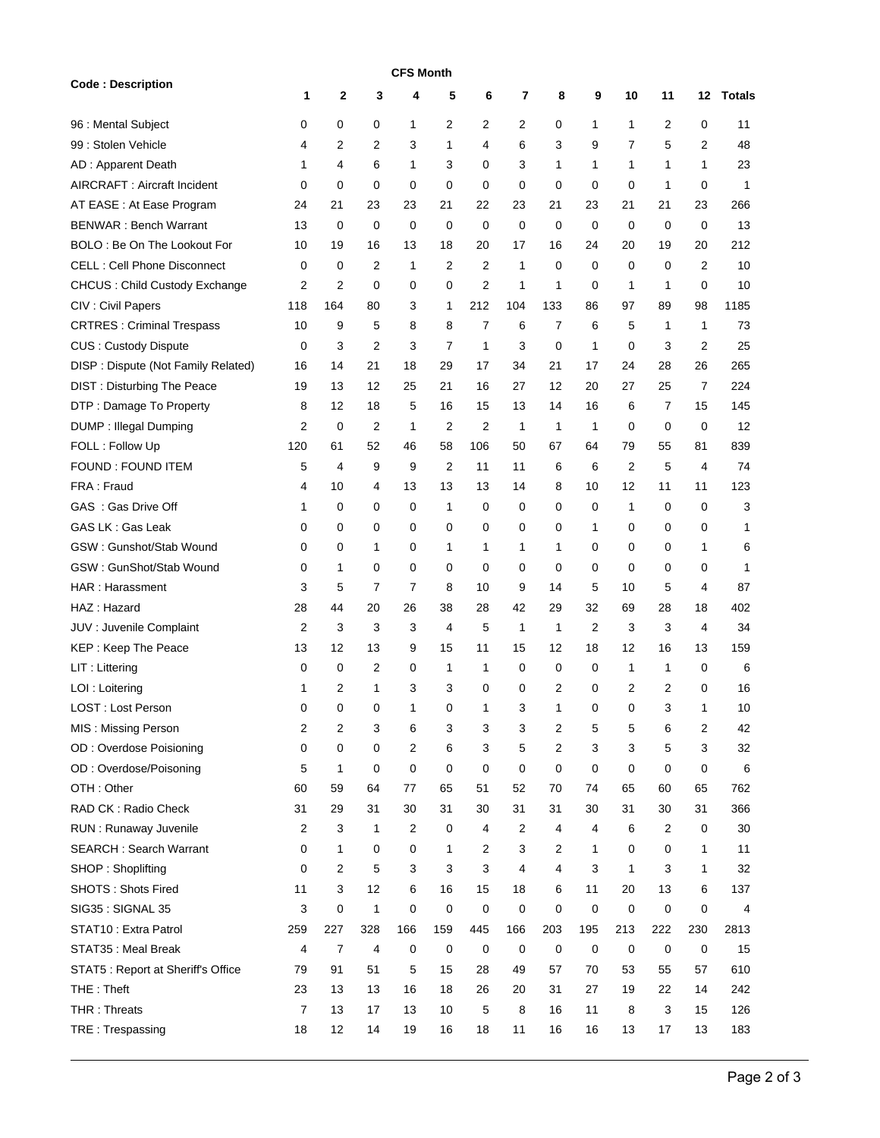| <b>CFS Month</b>                    |     |             |                |                |     |     |              |     |              |              |     |     |                |
|-------------------------------------|-----|-------------|----------------|----------------|-----|-----|--------------|-----|--------------|--------------|-----|-----|----------------|
| <b>Code: Description</b>            | 1   | $\mathbf 2$ | 3              | 4              | 5   | 6   | 7            | 8   | 9            | 10           | 11  | 12  | <b>Totals</b>  |
| 96 : Mental Subject                 | 0   | 0           | 0              | 1              | 2   | 2   | 2            | 0   | $\mathbf{1}$ | 1            | 2   | 0   | 11             |
| 99 : Stolen Vehicle                 | 4   | 2           | 2              | 3              | 1   | 4   | 6            | 3   | 9            | 7            | 5   | 2   | 48             |
| AD: Apparent Death                  | 1   | 4           | 6              | 1              | 3   | 0   | 3            | 1   | 1            | 1            | 1   | 1   | 23             |
| <b>AIRCRAFT: Aircraft Incident</b>  | 0   | 0           | 0              | 0              | 0   | 0   | 0            | 0   | 0            | 0            | 1   | 0   | 1              |
| AT EASE : At Ease Program           | 24  | 21          | 23             | 23             | 21  | 22  | 23           | 21  | 23           | 21           | 21  | 23  | 266            |
| <b>BENWAR: Bench Warrant</b>        | 13  | 0           | 0              | 0              | 0   | 0   | 0            | 0   | 0            | 0            | 0   | 0   | 13             |
| BOLO: Be On The Lookout For         | 10  | 19          | 16             | 13             | 18  | 20  | 17           | 16  | 24           | 20           | 19  | 20  | 212            |
| <b>CELL: Cell Phone Disconnect</b>  | 0   | 0           | 2              | 1              | 2   | 2   | 1            | 0   | 0            | 0            | 0   | 2   | 10             |
| CHCUS : Child Custody Exchange      | 2   | 2           | $\mathbf 0$    | 0              | 0   | 2   | 1            | 1   | 0            | 1            | 1   | 0   | 10             |
| CIV : Civil Papers                  | 118 | 164         | 80             | 3              | 1   | 212 | 104          | 133 | 86           | 97           | 89  | 98  | 1185           |
| <b>CRTRES: Criminal Trespass</b>    | 10  | 9           | 5              | 8              | 8   | 7   | 6            | 7   | 6            | 5            | 1   | 1   | 73             |
| CUS: Custody Dispute                | 0   | 3           | 2              | 3              | 7   | 1   | 3            | 0   | 1            | 0            | 3   | 2   | 25             |
| DISP : Dispute (Not Family Related) | 16  | 14          | 21             | 18             | 29  | 17  | 34           | 21  | 17           | 24           | 28  | 26  | 265            |
| <b>DIST: Disturbing The Peace</b>   | 19  | 13          | 12             | 25             | 21  | 16  | 27           | 12  | 20           | 27           | 25  | 7   | 224            |
| DTP: Damage To Property             | 8   | 12          | 18             | 5              | 16  | 15  | 13           | 14  | 16           | 6            | 7   | 15  | 145            |
| DUMP : Illegal Dumping              | 2   | 0           | 2              | 1              | 2   | 2   | 1            | 1   | 1            | 0            | 0   | 0   | 12             |
| FOLL : Follow Up                    | 120 | 61          | 52             | 46             | 58  | 106 | 50           | 67  | 64           | 79           | 55  | 81  | 839            |
| <b>FOUND: FOUND ITEM</b>            | 5   | 4           | 9              | 9              | 2   | 11  | 11           | 6   | 6            | 2            | 5   | 4   | 74             |
| FRA: Fraud                          | 4   | 10          | 4              | 13             | 13  | 13  | 14           | 8   | 10           | 12           | 11  | 11  | 123            |
| GAS : Gas Drive Off                 | 1   | 0           | 0              | 0              | 1   | 0   | 0            | 0   | 0            | 1            | 0   | 0   | 3              |
| GAS LK: Gas Leak                    | 0   | 0           | 0              | 0              | 0   | 0   | 0            | 0   | 1            | 0            | 0   | 0   | 1              |
| GSW: Gunshot/Stab Wound             | 0   | 0           | 1              | 0              | 1   | 1   | 1            | 1   | 0            | 0            | 0   | 1   | 6              |
| GSW: GunShot/Stab Wound             | 0   | 1           | 0              | $\mathbf 0$    | 0   | 0   | 0            | 0   | 0            | 0            | 0   | 0   | 1              |
| HAR: Harassment                     | 3   | 5           | $\overline{7}$ | $\overline{7}$ | 8   | 10  | 9            | 14  | 5            | 10           | 5   | 4   | 87             |
| HAZ: Hazard                         | 28  | 44          | 20             | 26             | 38  | 28  | 42           | 29  | 32           | 69           | 28  | 18  | 402            |
| JUV : Juvenile Complaint            | 2   | 3           | 3              | 3              | 4   | 5   | $\mathbf{1}$ | 1   | 2            | 3            | 3   | 4   | 34             |
| KEP: Keep The Peace                 | 13  | 12          | 13             | 9              | 15  | 11  | 15           | 12  | 18           | 12           | 16  | 13  | 159            |
| $LIT:$ Littering                    | 0   | 0           | 2              | 0              | 1   | 1   | 0            | 0   | 0            | 1            | 1   | 0   | 6              |
| LOI : Loitering                     | 1   | 2           | 1              | 3              | 3   | 0   | 0            | 2   | 0            | 2            | 2   | 0   | 16             |
| LOST : Lost Person                  | 0   | 0           | 0              | 1              | 0   | 1   | 3            | 1   | 0            | 0            | 3   | 1   | 10             |
| MIS: Missing Person                 | 2   | 2           | 3              | 6              | 3   | 3   | 3            | 2   | 5            | 5            | 6   | 2   | 42             |
| OD: Overdose Poisioning             | 0   | 0           | 0              | 2              | 6   | 3   | 5            | 2   | 3            | 3            | 5   | 3   | 32             |
| OD: Overdose/Poisoning              | 5   | 1           | 0              | $\mathbf 0$    | 0   | 0   | 0            | 0   | 0            | 0            | 0   | 0   | 6              |
| OTH: Other                          | 60  | 59          | 64             | 77             | 65  | 51  | 52           | 70  | 74           | 65           | 60  | 65  | 762            |
| RAD CK: Radio Check                 | 31  | 29          | 31             | 30             | 31  | 30  | 31           | 31  | 30           | 31           | 30  | 31  | 366            |
| RUN : Runaway Juvenile              | 2   | 3           | 1              | 2              | 0   | 4   | 2            | 4   | 4            | 6            | 2   | 0   | 30             |
| <b>SEARCH: Search Warrant</b>       | 0   | 1           | 0              | 0              | 1   | 2   | 3            | 2   | 1            | 0            | 0   | 1   | 11             |
| SHOP: Shoplifting                   | 0   | 2           | 5              | 3              | 3   | 3   | 4            | 4   | 3            | $\mathbf{1}$ | 3   | 1   | 32             |
| <b>SHOTS: Shots Fired</b>           | 11  | 3           | 12             | 6              | 16  | 15  | 18           | 6   | 11           | 20           | 13  | 6   | 137            |
| SIG35: SIGNAL 35                    | 3   | 0           | 1              | 0              | 0   | 0   | $\mathbf 0$  | 0   | 0            | 0            | 0   | 0   | $\overline{4}$ |
| STAT10 : Extra Patrol               | 259 | 227         | 328            | 166            | 159 | 445 | 166          | 203 | 195          | 213          | 222 | 230 | 2813           |
| STAT35: Meal Break                  | 4   | 7           | 4              | 0              | 0   | 0   | 0            | 0   | 0            | 0            | 0   | 0   | 15             |
| STAT5 : Report at Sheriff's Office  | 79  | 91          | 51             | 5              | 15  | 28  | 49           | 57  | 70           | 53           | 55  | 57  | 610            |
| THE: Theft                          | 23  | 13          | 13             | 16             | 18  | 26  | 20           | 31  | 27           | 19           | 22  | 14  | 242            |
| THR: Threats                        | 7   | 13          | 17             | 13             | 10  | 5   | 8            | 16  | 11           | 8            | 3   | 15  | 126            |
| TRE: Trespassing                    | 18  | 12          | 14             | 19             | 16  | 18  | 11           | 16  | 16           | 13           | 17  | 13  | 183            |